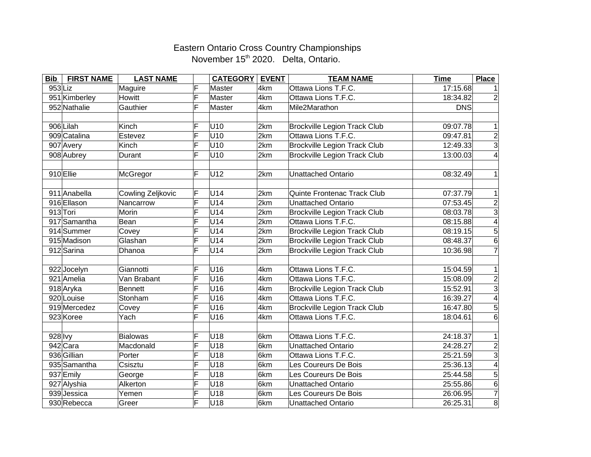## Eastern Ontario Cross Country Championships November 15<sup>th</sup> 2020. Delta, Ontario.

| <b>Bib</b> | <b>FIRST NAME</b> | <b>LAST NAME</b>  |                         | <b>CATEGORY   EVENT</b> |     | <b>TEAM NAME</b>                    | <b>Time</b> | <b>Place</b>             |
|------------|-------------------|-------------------|-------------------------|-------------------------|-----|-------------------------------------|-------------|--------------------------|
| $953$ Liz  |                   | Maguire           | F                       | Master                  | 4km | Ottawa Lions T.F.C.                 | 17:15.68    |                          |
|            | 951 Kimberley     | Howitt            | F                       | Master                  | 4km | Ottawa Lions T.F.C.                 | 18:34.82    |                          |
|            | 952 Nathalie      | Gauthier          | F                       | Master                  | 4km | Mile2Marathon                       | <b>DNS</b>  |                          |
|            |                   |                   |                         |                         |     |                                     |             |                          |
|            | 906 Lilah         | Kinch             | F                       | U10                     | 2km | <b>Brockville Legion Track Club</b> | 09:07.78    | 1                        |
|            | 909 Catalina      | Estevez           | F                       | U10                     | 2km | Ottawa Lions T.F.C.                 | 09:47.81    | $\frac{2}{3}$            |
|            | 907 Avery         | Kinch             | F                       | U10                     | 2km | <b>Brockville Legion Track Club</b> | 12:49.33    |                          |
|            | 908 Aubrey        | Durant            | F                       | U10                     | 2km | <b>Brockville Legion Track Club</b> | 13:00.03    | 4                        |
|            |                   |                   |                         |                         |     |                                     |             |                          |
|            | 910 Ellie         | McGregor          | F                       | U12                     | 2km | <b>Unattached Ontario</b>           | 08:32.49    | 1                        |
|            |                   |                   |                         |                         |     |                                     |             |                          |
|            | 911 Anabella      | Cowling Zeljkovic | F                       | U14                     | 2km | Quinte Frontenac Track Club         | 07:37.79    | 1                        |
|            | 916 Ellason       | Nancarrow         | F                       | U14                     | 2km | Unattached Ontario                  | 07:53.45    | $\overline{2}$           |
|            | 913 Tori          | Morin             | F                       | U14                     | 2km | <b>Brockville Legion Track Club</b> | 08:03.78    | $\overline{3}$           |
|            | 917 Samantha      | Bean              | F                       | U14                     | 2km | Ottawa Lions T.F.C.                 | 08:15.88    | $\overline{\mathcal{A}}$ |
|            | 914 Summer        | Covey             | Ē                       | U14                     | 2km | <b>Brockville Legion Track Club</b> | 08:19.15    | $\overline{5}$           |
|            | 915 Madison       | Glashan           | F                       | U14                     | 2km | <b>Brockville Legion Track Club</b> | 08:48.37    | 6                        |
|            | 912 Sarina        | Dhanoa            | F                       | U14                     | 2km | <b>Brockville Legion Track Club</b> | 10:36.98    | $\overline{7}$           |
|            |                   |                   |                         |                         |     |                                     |             |                          |
|            | 922Jocelyn        | Giannotti         | F                       | U16                     | 4km | Ottawa Lions T.F.C.                 | 15:04.59    | 1                        |
|            | 921 Amelia        | Van Brabant       | F                       | U16                     | 4km | Ottawa Lions T.F.C.                 | 15:08.09    | $\overline{2}$           |
|            | 918 Aryka         | <b>Bennett</b>    | F                       | U16                     | 4km | <b>Brockville Legion Track Club</b> | 15:52.91    | $\overline{3}$           |
|            | 920 Louise        | Stonham           | $\overline{\mathsf{F}}$ | U16                     | 4km | Ottawa Lions T.F.C.                 | 16:39.27    | $\overline{4}$           |
|            | 919 Mercedez      | Covey             | F                       | U16                     | 4km | <b>Brockville Legion Track Club</b> | 16:47.80    | $\overline{5}$           |
|            | 923 Koree         | Yach              | F                       | U16                     | 4km | Ottawa Lions T.F.C.                 | 18:04.61    | 6                        |
|            |                   |                   |                         |                         |     |                                     |             |                          |
| $928$ lvy  |                   | <b>Bialowas</b>   | F                       | U18                     | 6km | Ottawa Lions T.F.C.                 | 24:18.37    | $\mathbf 1$              |
|            | 942 Cara          | Macdonald         | F                       | U18                     | 6km | Unattached Ontario                  | 24:28.27    | $\frac{2}{3}$            |
|            | 936 Gillian       | Porter            | F                       | U18                     | 6km | Ottawa Lions T.F.C.                 | 25:21.59    |                          |
|            | 935 Samantha      | Csisztu           | F                       | U18                     | 6km | Les Coureurs De Bois                | 25:36.13    | $\vert$                  |
|            | 937 Emily         | George            | F                       | U18                     | 6km | Les Coureurs De Bois                | 25:44.58    | 5                        |
|            | 927 Alyshia       | Alkerton          | Ē                       | U18                     | 6km | Unattached Ontario                  | 25:55.86    | $\overline{6}$           |
|            | 939Jessica        | Yemen             | F                       | U18                     | 6km | Les Coureurs De Bois                | 26:06.95    | $\overline{7}$           |
|            | 930 Rebecca       | Greer             | F                       | U18                     | 6km | Unattached Ontario                  | 26:25.31    | $\overline{8}$           |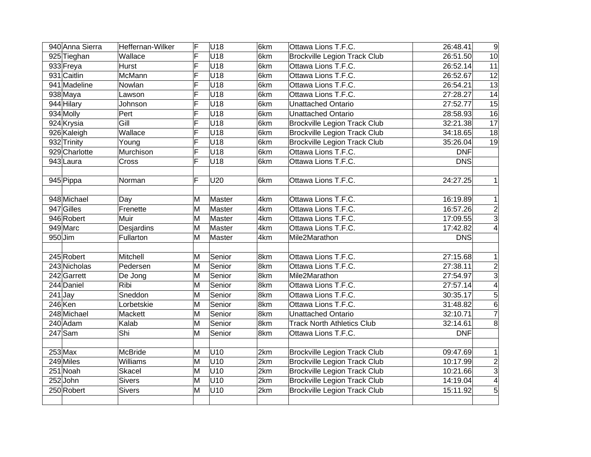|            | 940 Anna Sierra | Heffernan-Wilker | F  | U <sub>18</sub> | 6km | Ottawa Lions T.F.C.                 | 26:48.41              | 9                |
|------------|-----------------|------------------|----|-----------------|-----|-------------------------------------|-----------------------|------------------|
|            | 925 Tieghan     | Wallace          | F  | U18             | 6km | <b>Brockville Legion Track Club</b> | 26:51.50              | 10               |
|            | 933 Freya       | <b>Hurst</b>     | F  | U18             | 6km | Ottawa Lions T.F.C.                 | 26:52.14              | $\overline{11}$  |
|            | 931 Caitlin     | McMann           | F  | U18             | 6km | Ottawa Lions T.F.C.                 | 26:52.67              | $\overline{12}$  |
|            | 941 Madeline    | Nowlan           | F  | U18             | 6km | Ottawa Lions T.F.C.                 | 26:54.21              | 13               |
|            | $938$ Maya      | Lawson           | F  | U <sub>18</sub> | 6km | Ottawa Lions T.F.C.                 | 27:28.27              | 14               |
|            | 944 Hilary      | Johnson          | F  | U <sub>18</sub> | 6km | <b>Unattached Ontario</b>           | 27:52.77              | 15               |
| 934 Molly  |                 | Pert             | Ē  | U <sub>18</sub> | 6km | Unattached Ontario                  | 28:58.93              | 16               |
|            | 924 Krysia      | Gill             | F  | U <sub>18</sub> | 6km | <b>Brockville Legion Track Club</b> | 32:21.38              | 17               |
|            | 926 Kaleigh     | Wallace          | F  | U <sub>18</sub> | 6km | <b>Brockville Legion Track Club</b> | 34:18.65              | 18               |
|            | 932 Trinity     | Young            | F  | U18             | 6km | <b>Brockville Legion Track Club</b> | 35:26.04              | 19               |
|            | 929 Charlotte   | Murchison        | F  | U18             | 6km | Ottawa Lions T.F.C.                 | <b>DNF</b>            |                  |
|            | 943 Laura       | Cross            | F  | U <sub>18</sub> | 6km | Ottawa Lions T.F.C.                 | <b>DNS</b>            |                  |
|            |                 |                  |    |                 |     |                                     |                       |                  |
|            | 945 Pippa       | Norman           | F  | U20             | 6km | Ottawa Lions T.F.C.                 | 24:27.25              | $\mathbf{1}$     |
|            |                 |                  |    |                 |     |                                     |                       |                  |
|            | 948 Michael     | Day              | M  | Master          | 4km | Ottawa Lions T.F.C.                 | 16:19.89              | $\mathbf{1}$     |
|            | 947 Gilles      | Frenette         | ΙM | Master          | 4km | Ottawa Lions T.F.C.                 | 16:57.26              | $\frac{2}{3}$    |
|            | 946 Robert      | Muir             | M  | Master          | 4km | Ottawa Lions T.F.C.                 | 17:09.55              |                  |
| 949 Marc   |                 | Desjardins       | M  | Master          | 4km | Ottawa Lions T.F.C.                 | 17:42.82              | $\left 4\right $ |
| $950$ Jim  |                 | Fullarton        | M  | Master          | 4km | Mile2Marathon                       | <b>DNS</b>            |                  |
|            |                 |                  |    |                 |     |                                     |                       |                  |
|            | 245 Robert      | Mitchell         | М  | Senior          | 8km | Ottawa Lions T.F.C.                 | 27:15.68              | 1                |
|            | 243 Nicholas    | Pedersen         | M  | Senior          | 8km | Ottawa Lions T.F.C.                 | $\overline{2}7:38.11$ | $\frac{2}{3}$    |
|            | 242 Garrett     | De Jong          | M  | Senior          | 8km | Mile2Marathon                       | 27:54.97              |                  |
|            | 244 Daniel      | Ribi             | м  | Senior          | 8km | Ottawa Lions T.F.C.                 | 27:57.14              | $\overline{4}$   |
| $241$ Jay  |                 | Sneddon          | M  | Senior          | 8km | Ottawa Lions T.F.C.                 | 30:35.17              | $\overline{5}$   |
| 246 Ken    |                 | Lorbetskie       | M  | Senior          | 8km | Ottawa Lions T.F.C.                 | 31:48.82              | $\overline{6}$   |
|            | 248 Michael     | Mackett          | M  | Senior          | 8km | <b>Unattached Ontario</b>           | 32:10.71              | $\overline{7}$   |
|            | 240 Adam        | Kalab            | M  | Senior          | 8km | <b>Track North Athletics Club</b>   | 32:14.61              | $\overline{8}$   |
| $247$ Sam  |                 | Shi              | M  | Senior          | 8km | Ottawa Lions T.F.C.                 | <b>DNF</b>            |                  |
|            |                 |                  |    |                 |     |                                     |                       |                  |
| $253$ Max  |                 | McBride          | M  | U10             | 2km | Brockville Legion Track Club        | 09:47.69              | $\mathbf 1$      |
| 249 Miles  |                 | <b>Williams</b>  | ΙM | U10             | 2km | <b>Brockville Legion Track Club</b> | 10:17.99              | $\frac{2}{3}$    |
| $251$ Noah |                 | <b>Skacel</b>    | M  | U10             | 2km | <b>Brockville Legion Track Club</b> | 10:21.66              |                  |
| $252$ John |                 | <b>Sivers</b>    | M  | U10             | 2km | <b>Brockville Legion Track Club</b> | 14:19.04              | $\overline{4}$   |
|            | 250 Robert      | <b>Sivers</b>    | M  | U10             | 2km | <b>Brockville Legion Track Club</b> | 15:11.92              | $\overline{5}$   |
|            |                 |                  |    |                 |     |                                     |                       |                  |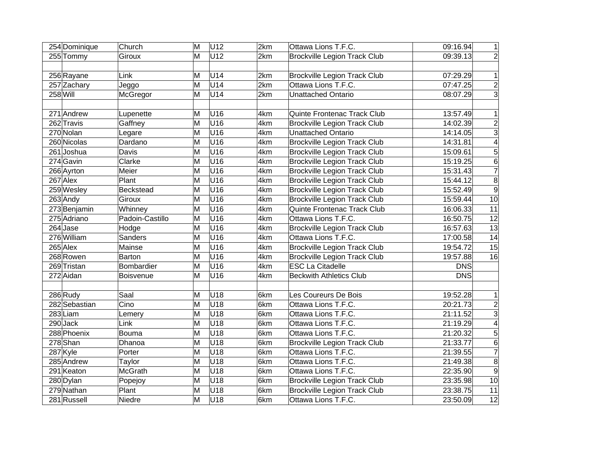| 254 Dominique | Church           | M | U12 | 2km | Ottawa Lions T.F.C.                 | 09:16.94   | 1              |
|---------------|------------------|---|-----|-----|-------------------------------------|------------|----------------|
| 255 Tommy     | Giroux           | M | U12 | 2km | <b>Brockville Legion Track Club</b> | 09:39.13   | $\overline{2}$ |
|               |                  |   |     |     |                                     |            |                |
| 256 Rayane    | Link             | Μ | U14 | 2km | <b>Brockville Legion Track Club</b> | 07:29.29   | $\mathbf{1}$   |
| 257 Zachary   | Jeggo            | M | U14 | 2km | Ottawa Lions T.F.C.                 | 07:47.25   | $\overline{2}$ |
| $258$ Will    | McGregor         | Μ | U14 | 2km | Unattached Ontario                  | 08:07.29   | $\overline{3}$ |
|               |                  |   |     |     |                                     |            |                |
| 271 Andrew    | Lupenette        | M | U16 | 4km | Quinte Frontenac Track Club         | 13:57.49   | 1              |
| 262 Travis    | Gaffney          | M | U16 | 4km | <b>Brockville Legion Track Club</b> | 14:02.39   | $\overline{2}$ |
| 270 Nolan     | Legare           | М | U16 | 4km | Unattached Ontario                  | 14:14.05   | $\overline{3}$ |
| 260 Nicolas   | Dardano          | M | U16 | 4km | <b>Brockville Legion Track Club</b> | 14:31.81   | $\overline{4}$ |
| 261Joshua     | Davis            | M | U16 | 4km | <b>Brockville Legion Track Club</b> | 15:09.61   | $\overline{5}$ |
| $274$ Gavin   | Clarke           | Μ | U16 | 4km | Brockville Legion Track Club        | 15:19.25   | $6\phantom{1}$ |
| 266 Ayrton    | Meier            | Μ | U16 | 4km | <b>Brockville Legion Track Club</b> | 15:31.43   | $\overline{7}$ |
| $267$ Alex    | Plant            | M | U16 | 4km | <b>Brockville Legion Track Club</b> | 15:44.12   | $\overline{8}$ |
| 259 Wesley    | <b>Beckstead</b> | M | U16 | 4km | <b>Brockville Legion Track Club</b> | 15:52.49   | $\overline{9}$ |
| 263 Andy      | Giroux           | Μ | U16 | 4km | <b>Brockville Legion Track Club</b> | 15:59.44   | 10             |
| 273 Benjamin  | Whinney          | M | U16 | 4km | Quinte Frontenac Track Club         | 16:06.33   | 11             |
| 275 Adriano   | Padoin-Castillo  | M | U16 | 4km | Ottawa Lions T.F.C.                 | 16:50.75   | 12             |
| $264$ Jase    | Hodge            | M | U16 | 4km | <b>Brockville Legion Track Club</b> | 16:57.63   | 13             |
| 276 William   | <b>Sanders</b>   | M | U16 | 4km | Ottawa Lions T.F.C.                 | 17:00.58   | 14             |
| $265$ Alex    | Mainse           | Μ | U16 | 4km | <b>Brockville Legion Track Club</b> | 19:54.72   | 15             |
| 268Rowen      | <b>Barton</b>    | M | U16 | 4km | <b>Brockville Legion Track Club</b> | 19:57.88   | 16             |
| 269 Tristan   | Bombardier       | M | U16 | 4km | <b>ESC La Citadelle</b>             | <b>DNS</b> |                |
| 272 Aidan     | Boisvenue        | M | U16 | 4km | <b>Beckwith Athletics Club</b>      | <b>DNS</b> |                |
|               |                  |   |     |     |                                     |            |                |
| $286$ Rudy    | Saal             | M | U18 | 6km | Les Coureurs De Bois                | 19:52.28   | 1              |
| 282 Sebastian | Cino             | Μ | U18 | 6km | Ottawa Lions T.F.C.                 | 20:21.73   | $\frac{2}{3}$  |
| $283$ Liam    | Lemery           | M | U18 | 6km | Ottawa Lions T.F.C.                 | 21:11.52   |                |
| $290$ Jack    | Link             | Μ | U18 | 6km | Ottawa Lions T.F.C.                 | 21:19.29   | $\overline{4}$ |
| 288 Phoenix   | <b>Bouma</b>     | Μ | U18 | 6km | Ottawa Lions T.F.C.                 | 21:20.32   | $\overline{5}$ |
| 278 Shan      | Dhanoa           | Μ | U18 | 6km | <b>Brockville Legion Track Club</b> | 21:33.77   | $\overline{6}$ |
| 287 Kyle      | Porter           | Μ | U18 | 6km | Ottawa Lions T.F.C.                 | 21:39.55   | $\overline{7}$ |
| 285 Andrew    | Taylor           | Μ | U18 | 6km | Ottawa Lions T.F.C.                 | 21:49.38   | $\overline{8}$ |
| 291 Keaton    | <b>McGrath</b>   | M | U18 | 6km | Ottawa Lions T.F.C.                 | 22:35.90   | $\overline{9}$ |
| 280 Dylan     | Popejoy          | M | U18 | 6km | <b>Brockville Legion Track Club</b> | 23:35.98   | 10             |
| 279 Nathan    | Plant            | М | U18 | 6km | <b>Brockville Legion Track Club</b> | 23:38.75   | 11             |
| 281 Russell   | Niedre           | Μ | U18 | 6km | Ottawa Lions T.F.C.                 | 23:50.09   | 12             |